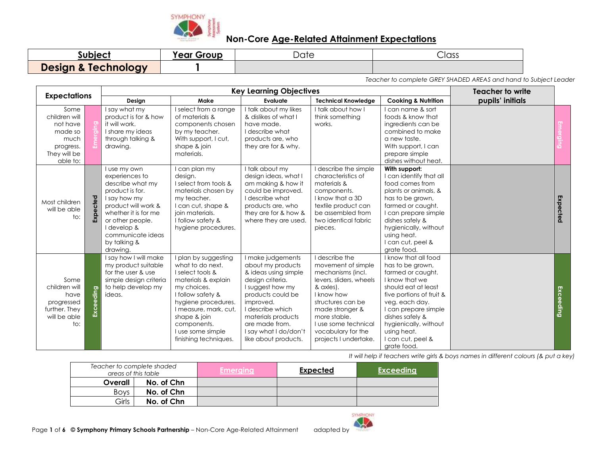

| subject                        | Year C<br>Group | Date | Class |
|--------------------------------|-----------------|------|-------|
| <b>Design &amp; Technology</b> |                 |      |       |

*Teacher to complete GREY SHADED AREAS and hand to Subject Leader*

|                                                                                               |           |                                                                                                                                                                                                                          | <b>Teacher to write</b>                                                                                                                                                                                                                              |                                                                                                                                                                                                                                                       |                                                                                                                                                                                                                                                |                                                                                                                                                                                                                                                                             |                  |           |
|-----------------------------------------------------------------------------------------------|-----------|--------------------------------------------------------------------------------------------------------------------------------------------------------------------------------------------------------------------------|------------------------------------------------------------------------------------------------------------------------------------------------------------------------------------------------------------------------------------------------------|-------------------------------------------------------------------------------------------------------------------------------------------------------------------------------------------------------------------------------------------------------|------------------------------------------------------------------------------------------------------------------------------------------------------------------------------------------------------------------------------------------------|-----------------------------------------------------------------------------------------------------------------------------------------------------------------------------------------------------------------------------------------------------------------------------|------------------|-----------|
| <b>Expectations</b>                                                                           |           | Design                                                                                                                                                                                                                   | Make                                                                                                                                                                                                                                                 | Evaluate                                                                                                                                                                                                                                              | <b>Technical Knowledge</b>                                                                                                                                                                                                                     | <b>Cooking &amp; Nutrition</b>                                                                                                                                                                                                                                              | pupils' initials |           |
| Some<br>children will<br>not have<br>made so<br>much<br>progress.<br>They will be<br>able to: |           | I say what my<br>product is for & how<br>it will work.<br>I share my ideas<br>through talking &<br>drawing.                                                                                                              | I select from a range<br>of materials &<br>components chosen<br>by my teacher.<br>With support, I cut,<br>shape & join<br>materials.                                                                                                                 | I talk about my likes<br>& dislikes of what I<br>have made.<br>I describe what<br>products are, who<br>they are for & why.                                                                                                                            | I talk about how I<br>think something<br>works.                                                                                                                                                                                                | I can name & sort<br>foods & know that<br>ingredients can be<br>combined to make<br>a new taste.<br>With support, I can<br>prepare simple<br>dishes without heat.                                                                                                           |                  |           |
| Most children<br>will be able<br>to:                                                          | Expected  | I use my own<br>experiences to<br>describe what my<br>product is for.<br>I say how my<br>product will work &<br>whether it is for me<br>or other people.<br>I develop &<br>communicate ideas<br>by talking &<br>drawing. | I can plan my<br>design.<br>I select from tools &<br>materials chosen by<br>my teacher.<br>I can cut, shape &<br>join materials.<br>I follow safety &<br>hygiene procedures.                                                                         | I talk about my<br>design ideas, what I<br>am making & how it<br>could be improved.<br>I describe what<br>products are, who<br>they are for & how &<br>where they are used.                                                                           | I describe the simple<br>characteristics of<br>materials &<br>components.<br>I know that a 3D<br>textile product can<br>be assembled from<br>two identical fabric<br>pieces.                                                                   | With support:<br>I can identify that all<br>food comes from<br>plants or animals, &<br>has to be grown,<br>farmed or caught.<br>I can prepare simple<br>dishes safely &<br>hygienically, without<br>using heat.<br>I can cut, peel &<br>grate food.                         |                  | Expected  |
| Some<br>children will<br>have<br>progressed<br>further. They<br>will be able<br>to:           | Exceeding | I say how I will make<br>my product suitable<br>for the user & use<br>simple design criteria<br>to help develop my<br>ideas.                                                                                             | I plan by suggesting<br>what to do next.<br>I select tools &<br>materials & explain<br>my choices.<br>I follow safety &<br>hygiene procedures.<br>I measure, mark, cut,<br>shape & join<br>components.<br>I use some simple<br>finishing techniques. | I make judgements<br>about my products<br>& ideas using simple<br>design criteria.<br>I suggest how my<br>products could be<br>improved.<br>I describe which<br>materials products<br>are made from.<br>I say what I do/don't<br>like about products. | I describe the<br>movement of simple<br>mechanisms (incl.<br>levers, sliders, wheels<br>& axles).<br>I know how<br>structures can be<br>made stronger &<br>more stable.<br>I use some technical<br>vocabulary for the<br>projects I undertake. | I know that all food<br>has to be grown,<br>farmed or caught.<br>I know that we<br>should eat at least<br>five portions of fruit &<br>veg. each day.<br>I can prepare simple<br>dishes safely &<br>hygienically, without<br>using heat.<br>I can cut, peel &<br>grate food. |                  | Exceeding |

| Teacher to complete shaded<br>areas of this table |            | Emerging | <b>Expected</b> | <b>Exceeding</b> |
|---------------------------------------------------|------------|----------|-----------------|------------------|
| Overall                                           | No. of Chn |          |                 |                  |
| <b>Boys</b>                                       | No. of Chn |          |                 |                  |
| Girls                                             | No. of Chn |          |                 |                  |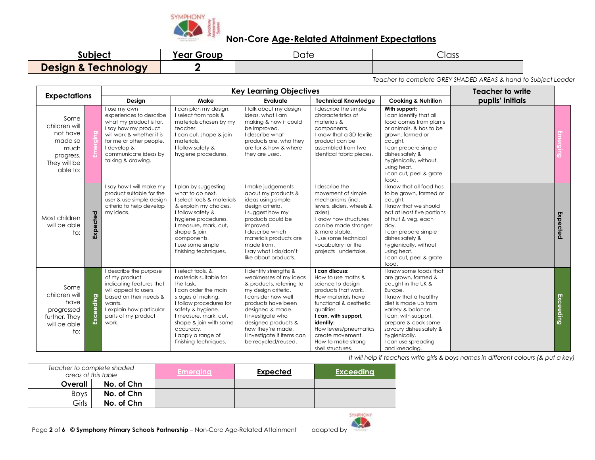

| subject                        | Year Group | ∽<br>Date | Class |
|--------------------------------|------------|-----------|-------|
| <b>Design &amp; Technology</b> |            |           |       |

*Teacher to complete GREY SHADED AREAS & hand to Subject Leader*

|                                                                                               |           |                                                                                                                                                                                                                 |                                                                                                                                                                                                                                                                      | <b>Key Learning Objectives</b>                                                                                                                                                                                                                                                             |                                                                                                                                                                                                                                                                            |                                                                                                                                                                                                                                                                                          |                  |           |  |
|-----------------------------------------------------------------------------------------------|-----------|-----------------------------------------------------------------------------------------------------------------------------------------------------------------------------------------------------------------|----------------------------------------------------------------------------------------------------------------------------------------------------------------------------------------------------------------------------------------------------------------------|--------------------------------------------------------------------------------------------------------------------------------------------------------------------------------------------------------------------------------------------------------------------------------------------|----------------------------------------------------------------------------------------------------------------------------------------------------------------------------------------------------------------------------------------------------------------------------|------------------------------------------------------------------------------------------------------------------------------------------------------------------------------------------------------------------------------------------------------------------------------------------|------------------|-----------|--|
| <b>Expectations</b>                                                                           |           | Design                                                                                                                                                                                                          | Make                                                                                                                                                                                                                                                                 | Evaluate                                                                                                                                                                                                                                                                                   | <b>Technical Knowledge</b>                                                                                                                                                                                                                                                 | <b>Cooking &amp; Nutrition</b>                                                                                                                                                                                                                                                           | pupils' initials |           |  |
| Some<br>children will<br>not have<br>made so<br>much<br>progress.<br>They will be<br>able to: |           | I use my own<br>experiences to describe<br>what my product is for.<br>I say how my product<br>will work & whether it is<br>for me or other people.<br>I develop &<br>communicate ideas by<br>talking & drawing. | I can plan my design.<br>I select from tools &<br>materials chosen by my<br>teacher.<br>I can cut, shape & join<br>materials.<br>I follow safety &<br>hygiene procedures.                                                                                            | I talk about my design<br>ideas, what I am<br>making & how it could<br>be improved.<br>I describe what<br>products are, who they<br>are for & how & where<br>they are used.                                                                                                                | I describe the simple<br>characteristics of<br>materials &<br>components.<br>I know that a 3D textile<br>product can be<br>assembled from two<br>identical fabric pieces.                                                                                                  | With support:<br>I can identify that all<br>food comes from plants<br>or animals, & has to be<br>grown, farmed or<br>caught.<br>I can prepare simple<br>dishes safely &<br>hygienically, without<br>using heat.<br>I can cut, peel & grate<br>food.                                      |                  |           |  |
| Most children<br>will be able<br>to:                                                          | Expected  | I say how I will make my<br>product suitable for the<br>user & use simple design<br>criteria to help develop<br>my ideas.                                                                                       | I plan by suggesting<br>what to do next.<br>I select tools & materials<br>& explain my choices.<br>I follow safety &<br>hygiene procedures.<br>I measure, mark, cut,<br>shape & join<br>components.<br>I use some simple<br>finishing techniques.                    | I make judgements<br>about my products &<br>ideas using simple<br>design criteria.<br>I suggest how my<br>products could be<br>improved.<br>I describe which<br>materials products are<br>made from.<br>I say what I do/don't<br>like about products.                                      | I describe the<br>movement of simple<br>mechanisms (incl.<br>levers, sliders, wheels &<br>axles).<br>I know how structures<br>can be made stronger<br>& more stable.<br>I use some technical<br>vocabulary for the<br>projects I undertake.                                | I know that all food has<br>to be grown, farmed or<br>caught.<br>I know that we should<br>eat at least five portions<br>of fruit & veg. each<br>day.<br>I can prepare simple<br>dishes safely &<br>hygienically, without<br>using heat.<br>I can cut, peel & grate<br>food.              |                  | Expected  |  |
| Some<br>children will<br>have<br>progressed<br>further. They<br>will be able<br>to:           | Exceeding | I describe the purpose<br>of my product<br>indicating features that<br>will appeal to users,<br>based on their needs &<br>wants.<br>I explain how particular<br>parts of my product<br>work.                    | I select tools, &<br>materials suitable for<br>the task.<br>I can order the main<br>stages of making.<br>I follow procedures for<br>safety & hygiene.<br>I measure, mark, cut,<br>shape & join with some<br>accuracy.<br>I apply a range of<br>finishing techniques. | I identify strengths &<br>weaknesses of my ideas<br>& products, referring to<br>my design criteria.<br>I consider how well<br>products have been<br>designed & made.<br>I investigate who<br>designed products &<br>how they're made.<br>I investigate if items can<br>be recycled/reused. | I can discuss:<br>How to use maths &<br>science to design<br>products that work.<br>How materials have<br>functional & aesthetic<br>avalities<br>I can, with support,<br>identify:<br>How levers/pneumatics<br>create movement.<br>How to make strong<br>shell structures. | I know some foods that<br>are grown, farmed &<br>caught in the UK &<br>Europe.<br>I know that a healthy<br>diet is made up from<br>variety & balance.<br>I can, with support,<br>prepare & cook some<br>savoury dishes safely &<br>hygienically.<br>I can use spreading<br>and kneading. |                  | Exceeding |  |

| Teacher to complete shaded<br>areas of this table |            | <b>Emerging</b> | <b>Expected</b> | <b>Exceeding</b> |
|---------------------------------------------------|------------|-----------------|-----------------|------------------|
| Overall                                           | No. of Chn |                 |                 |                  |
| <b>Boys</b>                                       | No. of Chn |                 |                 |                  |
| Girls                                             | No. of Chn |                 |                 |                  |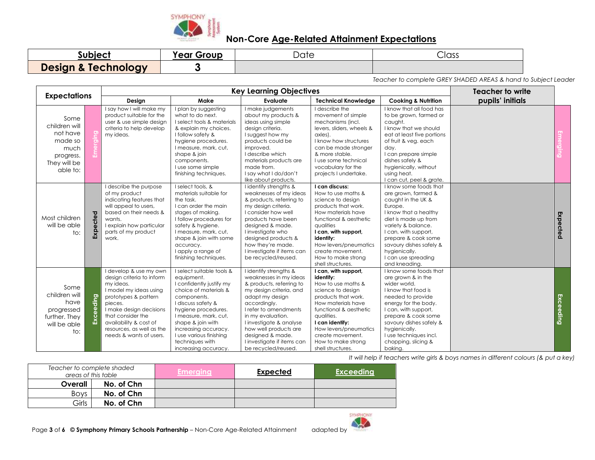

| subject                        | Year Group | –<br>،۱۸۰<br>Duit | Class |
|--------------------------------|------------|-------------------|-------|
| <b>Design &amp; Technology</b> |            |                   |       |

*Teacher to complete GREY SHADED AREAS & hand to Subject Leader*

|                                                                                               |           | <b>Key Learning Objectives</b>                                                                                                                                                                                                                                  |                                                                                                                                                                                                                                                                                                      |                                                                                                                                                                                                                                                                                                                       |                                                                                                                                                                                                                                                                              |                                                                                                                                                                                                                                                                                          | <b>Teacher to write</b> |           |
|-----------------------------------------------------------------------------------------------|-----------|-----------------------------------------------------------------------------------------------------------------------------------------------------------------------------------------------------------------------------------------------------------------|------------------------------------------------------------------------------------------------------------------------------------------------------------------------------------------------------------------------------------------------------------------------------------------------------|-----------------------------------------------------------------------------------------------------------------------------------------------------------------------------------------------------------------------------------------------------------------------------------------------------------------------|------------------------------------------------------------------------------------------------------------------------------------------------------------------------------------------------------------------------------------------------------------------------------|------------------------------------------------------------------------------------------------------------------------------------------------------------------------------------------------------------------------------------------------------------------------------------------|-------------------------|-----------|
| <b>Expectations</b>                                                                           |           | Design                                                                                                                                                                                                                                                          | Make                                                                                                                                                                                                                                                                                                 | Evaluate                                                                                                                                                                                                                                                                                                              | <b>Technical Knowledge</b>                                                                                                                                                                                                                                                   | <b>Cooking &amp; Nutrition</b>                                                                                                                                                                                                                                                           | pupils' initials        |           |
| Some<br>children will<br>not have<br>made so<br>much<br>progress.<br>They will be<br>able to: |           | I say how I will make my<br>product suitable for the<br>user & use simple design<br>criteria to help develop<br>my ideas.                                                                                                                                       | I plan by suggesting<br>what to do next.<br>I select tools & materials<br>& explain my choices.<br>I follow safety &<br>hygiene procedures.<br>I measure, mark, cut,<br>shape & join<br>components.<br>I use some simple<br>finishing techniques.                                                    | I make judgements<br>about my products &<br>ideas using simple<br>design criteria.<br>I suggest how my<br>products could be<br>improved.<br>I describe which<br>materials products are<br>made from.<br>I say what I do/don't<br>like about products.                                                                 | I describe the<br>movement of simple<br>mechanisms (incl.<br>levers, sliders, wheels &<br>axles).<br>I know how structures<br>can be made stronger<br>& more stable.<br>Luse some technical<br>vocabulary for the<br>projects I undertake.                                   | I know that all food has<br>to be grown, farmed or<br>caught.<br>I know that we should<br>eat at least five portions<br>of fruit & veg. each<br>day.<br>I can prepare simple<br>dishes safely &<br>hygienically, without<br>using heat.<br>I can cut, peel & grate.                      |                         |           |
| Most children<br>will be able<br>$\mathsf{to}:$                                               | Expected  | I describe the purpose<br>of my product<br>indicating features that<br>will appeal to users,<br>based on their needs &<br>wants.<br>I explain how particular<br>parts of my product<br>work.                                                                    | I select tools, &<br>materials suitable for<br>the task.<br>I can order the main<br>stages of making.<br>I follow procedures for<br>safety & hygiene.<br>I measure, mark, cut,<br>shape & join with some<br>accuracy.<br>I apply a range of<br>finishing techniques.                                 | I identify strengths &<br>weaknesses of my ideas<br>& products, referring to<br>my design criteria.<br>I consider how well<br>products have been<br>designed & made.<br>I investigate who<br>designed products &<br>how they're made.<br>I investigate if items can<br>be recycled/reused.                            | I can discuss:<br>How to use maths &<br>science to design<br>products that work.<br>How materials have<br>functional & aesthetic<br>aualities<br>I can, with support,<br>identify:<br>How levers/pneumatics<br>create movement.<br>How to make strong<br>shell structures.   | I know some foods that<br>are grown, farmed &<br>caught in the UK &<br>Europe.<br>I know that a healthy<br>diet is made up from<br>variety & balance.<br>I can, with support,<br>prepare & cook some<br>savoury dishes safely &<br>hygienically.<br>I can use spreading<br>and kneading. |                         | Expected  |
| Some<br>children will<br>have<br>progressed<br>further. They<br>will be able<br>to:           | Exceeding | I develop & use my own<br>design criteria to inform<br>my ideas.<br>I model my ideas using<br>prototypes & pattern<br>pieces.<br>I make design decisions<br>that consider the<br>availability & cost of<br>resources, as well as the<br>needs & wants of users. | I select suitable tools &<br>equipment.<br>I confidently justify my<br>choice of materials &<br>components.<br>I discuss safety &<br>hygiene procedures.<br>I measure, mark, cut,<br>shape & join with<br>increasing accuracy.<br>I use various finishing<br>techniques with<br>increasing accuracy. | I identify strengths &<br>weaknesses in my ideas<br>& products, referring to<br>my design criteria, and<br>adapt my design<br>accordingly.<br>I refer to amendments<br>in my evaluation.<br>I investigate & analyse<br>how well products are<br>designed & made.<br>I investigate if items can<br>be recycled/reused. | I can, with support,<br>identify:<br>How to use maths &<br>science to design<br>products that work.<br>How materials have<br>functional & aesthetic<br>qualities.<br>I can identify:<br>How levers/pneumatics<br>create movement.<br>How to make strong<br>shell structures. | I know some foods that<br>are grown & in the<br>wider world.<br>I know that food is<br>needed to provide<br>energy for the body.<br>I can, with support,<br>prepare & cook some<br>savoury dishes safely &<br>hygienically.<br>I use techniques incl.<br>chopping, slicing &<br>baking.  |                         | Exceeding |

| Teacher to complete shaded<br>areas of this table |            | <b>Emerging</b> | <b>Expected</b> | <b>Exceeding</b> |
|---------------------------------------------------|------------|-----------------|-----------------|------------------|
| Overall                                           | No. of Chn |                 |                 |                  |
| <b>Boys</b>                                       | No. of Chn |                 |                 |                  |
| Girls                                             | No. of Chn |                 |                 |                  |

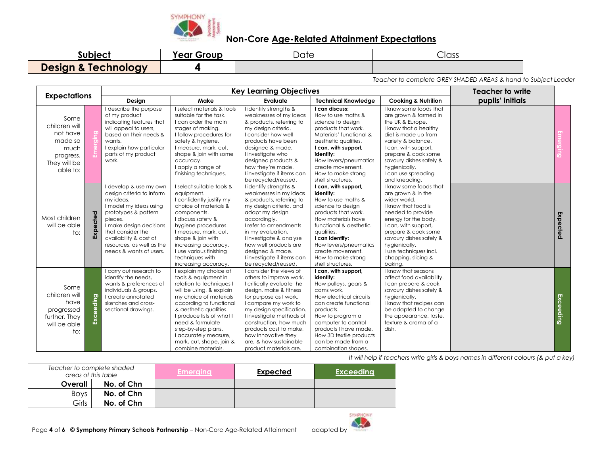

| subject                        | Year Group | Date | Class |
|--------------------------------|------------|------|-------|
| <b>Design &amp; Technology</b> |            |      |       |

*Teacher to complete GREY SHADED AREAS & hand to Subject Leader*

|                                                                                               |           | <b>Key Learning Objectives</b>                                                                                                                                                                                                                                  |                                                                                                                                                                                                                                                                                                                                          |                                                                                                                                                                                                                                                                                                                                                    |                                                                                                                                                                                                                                                                                      |                                                                                                                                                                                                                                                                                         | Teacher to write |           |
|-----------------------------------------------------------------------------------------------|-----------|-----------------------------------------------------------------------------------------------------------------------------------------------------------------------------------------------------------------------------------------------------------------|------------------------------------------------------------------------------------------------------------------------------------------------------------------------------------------------------------------------------------------------------------------------------------------------------------------------------------------|----------------------------------------------------------------------------------------------------------------------------------------------------------------------------------------------------------------------------------------------------------------------------------------------------------------------------------------------------|--------------------------------------------------------------------------------------------------------------------------------------------------------------------------------------------------------------------------------------------------------------------------------------|-----------------------------------------------------------------------------------------------------------------------------------------------------------------------------------------------------------------------------------------------------------------------------------------|------------------|-----------|
| <b>Expectations</b>                                                                           |           | Design                                                                                                                                                                                                                                                          | Make                                                                                                                                                                                                                                                                                                                                     | Evaluate                                                                                                                                                                                                                                                                                                                                           | <b>Technical Knowledge</b>                                                                                                                                                                                                                                                           | <b>Cooking &amp; Nutrition</b>                                                                                                                                                                                                                                                          | pupils' initials |           |
| Some<br>children will<br>not have<br>made so<br>much<br>progress.<br>They will be<br>able to: |           | I describe the purpose<br>of my product<br>indicating features that<br>will appeal to users,<br>based on their needs &<br>wants.<br>I explain how particular<br>parts of my product<br>work.                                                                    | I select materials & tools<br>suitable for the task.<br>I can order the main<br>stages of making.<br>I follow procedures for<br>safety & hygiene.<br>I measure, mark, cut,<br>shape & join with some<br>accuracy.<br>I apply a range of<br>finishing techniques.                                                                         | I identify strengths &<br>weaknesses of my ideas<br>& products, referring to<br>my design criteria.<br>I consider how well<br>products have been<br>designed & made.<br>I investigate who<br>designed products &<br>how they're made.<br>I investigate if items can<br>be recycled/reused.                                                         | I can discuss:<br>How to use maths &<br>science to design<br>products that work.<br>Materials' functional &<br>aesthetic qualities.<br>I can, with support,<br>identify:<br>How levers/pneumatics<br>create movement.<br>How to make strong<br>shell structures.                     | I know some foods that<br>are grown & farmed in<br>the UK & Europe.<br>I know that a healthy<br>diet is made up from<br>variety & balance.<br>I can, with support,<br>prepare & cook some<br>savoury dishes safely &<br>hygienically.<br>I can use spreading<br>and kneading.           |                  |           |
| Most children<br>will be able<br>to:                                                          | Expected  | I develop & use my own<br>design criteria to inform<br>my ideas.<br>I model my ideas using<br>prototypes & pattern<br>pieces.<br>I make design decisions<br>that consider the<br>availability & cost of<br>resources, as well as the<br>needs & wants of users. | I select suitable tools &<br>equipment.<br>I confidently justify my<br>choice of materials &<br>components.<br>I discuss safety &<br>hygiene procedures.<br>I measure, mark, cut,<br>shape & join with<br>increasing accuracy.<br>I use various finishing<br>techniques with<br>increasing accuracy.                                     | I identify strengths &<br>weaknesses in my ideas<br>& products, referring to<br>my design criteria, and<br>adapt my design<br>accordingly.<br>I refer to amendments<br>in my evaluation.<br>I investigate & analyse<br>how well products are<br>designed & made.<br>I investigate if items can<br>be recycled/reused.                              | I can, with support,<br>identify:<br>How to use maths &<br>science to design<br>products that work.<br>How materials have<br>functional & aesthetic<br>qualities.<br>I can identify:<br>How levers/pneumatics<br>create movement.<br>How to make strong<br>shell structures.         | I know some foods that<br>are grown & in the<br>wider world.<br>I know that food is<br>needed to provide<br>energy for the body.<br>I can, with support,<br>prepare & cook some<br>savoury dishes safely &<br>hygienically.<br>I use techniques incl.<br>chopping, slicing &<br>bakina. |                  | Expected  |
| Some<br>children will<br>have<br>progressed<br>further. They<br>will be able<br>to:           | Exceeding | I carry out research to<br>identify the needs.<br>wants & preferences of<br>individuals & groups.<br>I create annotated<br>sketches and cross-<br>sectional drawings.                                                                                           | I explain my choice of<br>tools & equipment in<br>relation to techniques I<br>will be using, & explain<br>my choice of materials<br>according to functional<br>& aesthetic qualities.<br>I produce lists of what I<br>need & formulate<br>step-by-step plans.<br>I accurately measure,<br>mark, cut, shape, join &<br>combine materials. | I consider the views of<br>others to improve work.<br>I critically evaluate the<br>design, make & fitness<br>for purpose as I work.<br>I compare my work to<br>my design specification.<br>I investigate methods of<br>construction, how much<br>products cost to make.<br>how innovative they<br>are, & how sustainable<br>product materials are. | I can, with support,<br>identify:<br>How pulleys, gears &<br>cams work.<br>How electrical circuits<br>can create functional<br>products.<br>How to program a<br>computer to control<br>products I have made.<br>How 3D textile products<br>can be made from a<br>combination shapes. | I know that seasons<br>affect food availability.<br>I can prepare & cook<br>savoury dishes safely &<br>hygienically.<br>I know that recipes can<br>be adapted to change<br>the appearance, taste,<br>texture & aroma of a<br>dish.                                                      |                  | Exceeding |

| Teacher to complete shaded<br>areas of this table |            | <b>Emerging</b> | <b>Expected</b> | <b>Exceeding</b> |
|---------------------------------------------------|------------|-----------------|-----------------|------------------|
| Overall                                           | No. of Chn |                 |                 |                  |
| <b>Boys</b>                                       | No. of Chn |                 |                 |                  |
| Girls                                             | No. of Chn |                 |                 |                  |

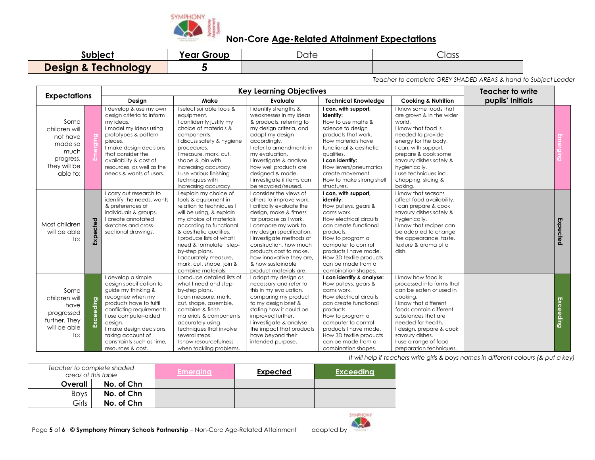

| Subject                        | rear Group | $\overline{\phantom{a}}$<br><i>Date</i> | Class |
|--------------------------------|------------|-----------------------------------------|-------|
| <b>Design &amp; Technology</b> |            |                                         |       |

*Teacher to complete GREY SHADED AREAS & hand to Subject Leader*

|                                                                                                |           | <b>Key Learning Objectives</b>                                                                                                                                                                                                                                                          |                                                                                                                                                                                                                                                                                                                                         |                                                                                                                                                                                                                                                                                                                                                    |                                                                                                                                                                                                                                                                                      |                                                                                                                                                                                                                                                                                            | <b>Teacher to write</b> |           |
|------------------------------------------------------------------------------------------------|-----------|-----------------------------------------------------------------------------------------------------------------------------------------------------------------------------------------------------------------------------------------------------------------------------------------|-----------------------------------------------------------------------------------------------------------------------------------------------------------------------------------------------------------------------------------------------------------------------------------------------------------------------------------------|----------------------------------------------------------------------------------------------------------------------------------------------------------------------------------------------------------------------------------------------------------------------------------------------------------------------------------------------------|--------------------------------------------------------------------------------------------------------------------------------------------------------------------------------------------------------------------------------------------------------------------------------------|--------------------------------------------------------------------------------------------------------------------------------------------------------------------------------------------------------------------------------------------------------------------------------------------|-------------------------|-----------|
| <b>Expectations</b>                                                                            |           | Design<br>Make                                                                                                                                                                                                                                                                          |                                                                                                                                                                                                                                                                                                                                         | Evaluate<br><b>Technical Knowledge</b>                                                                                                                                                                                                                                                                                                             |                                                                                                                                                                                                                                                                                      | <b>Cooking &amp; Nutrition</b>                                                                                                                                                                                                                                                             | pupils' Initials        |           |
| Some<br>children will<br>not have<br>made so<br>much<br>progress.<br>They will be<br>able to:  |           | I develop & use my own<br>design criteria to inform<br>my ideas.<br>I model my ideas using<br>prototypes & pattern<br>pieces.<br>I make design decisions<br>that consider the<br>availability & cost of<br>resources, as well as the<br>needs & wants of users.                         | I select suitable tools &<br>equipment.<br>I confidently justify my<br>choice of materials &<br>components.<br>I discuss safety & hygiene<br>procedures.<br>I measure, mark, cut,<br>shape & join with<br>increasing accuracy.<br>I use various finishing<br>techniques with<br>increasing accuracy.                                    | I identify strengths &<br>weaknesses in my ideas<br>& products, referring to<br>my design criteria, and<br>adapt my design<br>accordingly.<br>I refer to amendments in<br>my evaluation.<br>I investigate & analyse<br>how well products are<br>designed & made.<br>I investigate if items can<br>be recycled/reused.                              | I can, with support,<br>identify:<br>How to use maths &<br>science to design<br>products that work.<br>How materials have<br>functional & aesthetic<br>qualities.<br>I can identify:<br>How levers/pneumatics<br>create movement.<br>How to make strong shell<br>structures.         | I know some foods that<br>are grown & in the wider<br>world.<br>I know that food is<br>needed to provide<br>energy for the body.<br>I can, with support,<br>prepare & cook some<br>savoury dishes safely &<br>hygienically.<br>I use techniques incl.<br>chopping, slicing &<br>bakina.    |                         |           |
| Most children<br>will be able<br>to:                                                           | Expected  | I carry out research to<br>identify the needs, wants<br>& preferences of<br>individuals & groups.<br>I create annotated<br>sketches and cross-<br>sectional drawings.                                                                                                                   | I explain my choice of<br>tools & equipment in<br>relation to techniques I<br>will be using, & explain<br>my choice of materials<br>according to functional<br>& aesthetic qualities.<br>produce lists of what I<br>need & formulate step-<br>by-step plans.<br>I accurately measure,<br>mark, cut, shape, join &<br>combine materials. | I consider the views of<br>others to improve work.<br>I critically evaluate the<br>design, make & fitness<br>for purpose as I work.<br>I compare my work to<br>my design specification.<br>I investigate methods of<br>construction, how much<br>products cost to make.<br>how innovative they are,<br>& how sustainable<br>product materials are. | I can, with support,<br>identify:<br>How pulleys, gears &<br>cams work.<br>How electrical circuits<br>can create functional<br>products.<br>How to program a<br>computer to control<br>products I have made.<br>How 3D textile products<br>can be made from a<br>combination shapes. | I know that seasons<br>affect food availability.<br>I can prepare & cook<br>savoury dishes safely &<br>hygienically.<br>I know that recipes can<br>be adapted to change<br>the appearance, taste,<br>texture & aroma of a<br>dish.                                                         |                         | Expected  |
| Some<br>children will<br>have<br>progressed<br>further. They<br>will be able<br>$\mathsf{to}:$ | Exceeding | I develop a simple<br>design specification to<br>guide my thinking &<br>recognise when my<br>products have to fulfil<br>conflicting requirements.<br>I use computer-aided<br>design.<br>I make design decisions,<br>taking account of<br>constraints such as time,<br>resources & cost. | produce detailed lists of<br>what I need and step-<br>by-step plans.<br>I can measure, mark,<br>cut, shape, assemble,<br>combine & finish<br>materials & components<br>accurately using<br>techniques that involve<br>several steps.<br>I show resourcefulness<br>when tackling problems.                                               | I adapt my design as<br>necessary and refer to<br>this in my evaluation,<br>comparing my product<br>to my design brief &<br>stating how it could be<br>improved further.<br>I investigate & analyse<br>the impact that products<br>have beyond their<br>intended purpose.                                                                          | I can identify & analyse:<br>How pulleys, gears &<br>cams work.<br>How electrical circuits<br>can create functional<br>products.<br>How to program a<br>computer to control<br>products I have made.<br>How 3D textile products<br>can be made from a<br>combination shapes.         | I know how food is<br>processed into forms that<br>can be eaten or used in<br>cookina.<br>I know that different<br>foods contain different<br>substances that are<br>needed for health.<br>I design, prepare & cook<br>savoury dishes.<br>I use a range of food<br>preparation techniques. |                         | Exceeding |

| Teacher to complete shaded<br>areas of this table |            | Emeraina | <b>Expected</b> | <b>Exceeding</b> |
|---------------------------------------------------|------------|----------|-----------------|------------------|
| Overall                                           | No. of Chn |          |                 |                  |
| <b>Boys</b>                                       | No. of Chn |          |                 |                  |
| Girls                                             | No. of Chn |          |                 |                  |